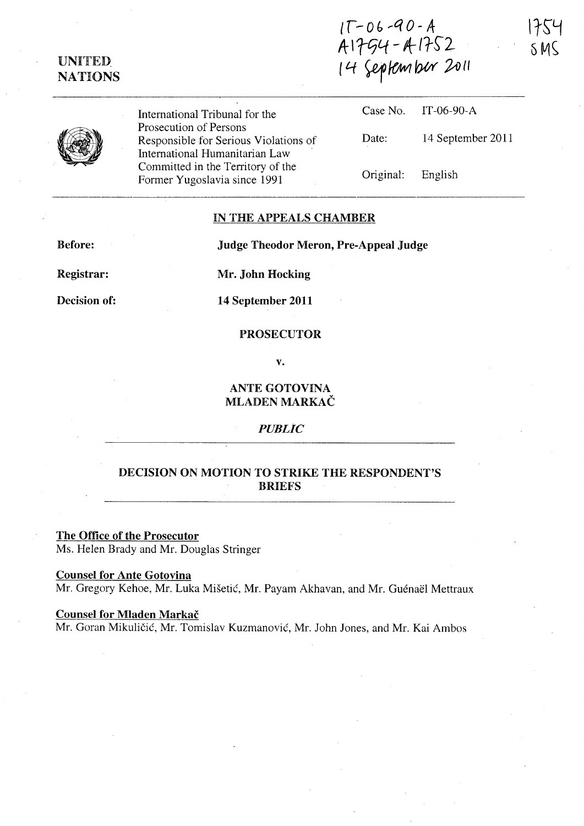# **UNITED** NATIONS

 $11 - 06 - 90 - A$ A 1754 - A 1752 (4 ~lOWlbW *;2-iJlI* 



International Tribunal for the Prosecution of Persons Responsible for Serious Violations of International Humanitarian Law Committed in the Territory of the Former Yugoslavia since 1991

|                   | Case No. IT-06-90-A |
|-------------------|---------------------|
| Date:             | 14 September 2011   |
| Original: English |                     |

#### IN THE APPEALS CHAMBER

Before:

Judge Theodor Meron, Pre-Appeal Judge

Registrar:

Decision of:

Mr. John Hocking

14 September 2011

### PROSECUTOR

v.

## ANTE GOTOVINA MLADEN MARKAC

### *PUBLIC*

## DECISION ON MOTION TO STRIKE THE RESPONDENT'S BRIEFS

The Office of the Prosecutor Ms. Helen Brady and Mr. Douglas Stringer

## Counsel for Ante Gotovina

Mr. Gregory Kehoe, Mr. Luka Mišetić, Mr. Payam Akhavan, and Mr. Guénaël Mettraux

#### Counsel for Mladen Markac

Mr. Goran Mikuličić, Mr. Tomislav Kuzmanović, Mr. John Jones, and Mr. Kai Ambos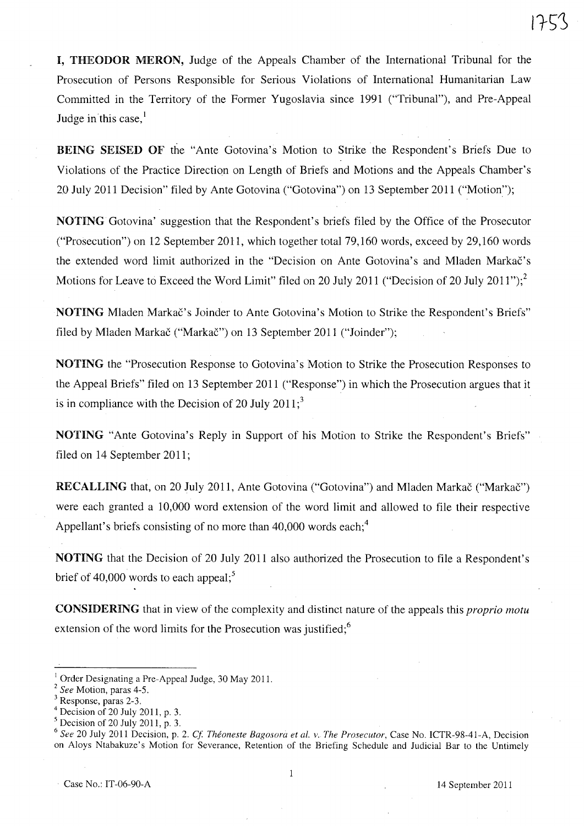I, THEODOR MERON, Judge of the Appeals Chamber of the International Tribunal for the Prosecution of Persons Responsible for Serious Violations of International Humanitarian Law Committed in the Territory of the Former Yugoslavia since 1991 ("Tribunal"), and Pre-Appeal Judge in this case, $\frac{1}{2}$ 

BEING SEISED OF the "Ante Gotovina's Motion to Strike the Respondent's Briefs Due to Violations of the Practice Direction on Length of Briefs and Motions and the Appeals Chamber's 20 July 2011 Decision" filed by Ante Gotovina ("Gotovina") on 13 September 2011 ("Motion");

NOTING Gotovina' suggestion that the Respondent's briefs filed by the Office of the Prosecutor ("Prosecution") on 12 September 2011, which together total 79,160 words, exceed by 29,160 words the extended word limit authorized in the "Decision on Ante Gotovina's and Mladen Markac's Motions for Leave to Exceed the Word Limit" filed on 20 July 2011 ("Decision of 20 July 2011");<sup>2</sup>

NOTING Mladen Markac's Joinder to Ante Gotovina's Motion to Strike the Respondent's Briefs" filed by Mladen Markač ("Markač") on 13 September 2011 ("Joinder");

NOTING the "Prosecution Response to Gotovina's Motion to Strike the Prosecution Responses to the Appeal Briefs" filed on 13 September 2011 ("Response") in which the Prosecution argues that it is in compliance with the Decision of 20 July  $2011$ ;<sup>3</sup>

NOTING "Ante Gotovina's Reply in Support of his Motion to Strike the Respondent's Briefs" filed on 14 September 2011;

RECALLING that, on 20 July 2011, Ante Gotovina ("Gotovina") and Mladen Markač ("Markač") were each granted a 10,000 word extension of the word limit and allowed to file their respective Appellant's briefs consisting of no more than  $40,000$  words each;<sup>4</sup>

NOTING that the Decision of 20 July 2011 also authorized the Prosecution to file a Respondent's brief of 40,000 words to each appeal;<sup>5</sup>

CONSIDERING that in view of the complexity and distinct nature of the appeals this *proprio motu*  extension of the word limits for the Prosecution was justified;<sup>6</sup>

. Case No.: IT-06-90-A 14 September 2011

<sup>&</sup>lt;sup>1</sup> Order Designating a Pre-Appeal Judge, 30 May 2011.

*<sup>2</sup> See* Motion, paras 4-5.

Response, paras 2-3.

Decision of 20 July 2011, p. 3.

Decision of 20 July 2011, p. 3.

*<sup>6</sup> See* 20 July 2011 Decision, p. 2. *Cl Theoneste Bagosora et al. v. The Prosecutor,* Case No. ICTR-98-41-A, Decision on Aloys Ntabakuze's Motion for Severance, Retention of the Briefing Schedule and Judicial Bar to the Untimely